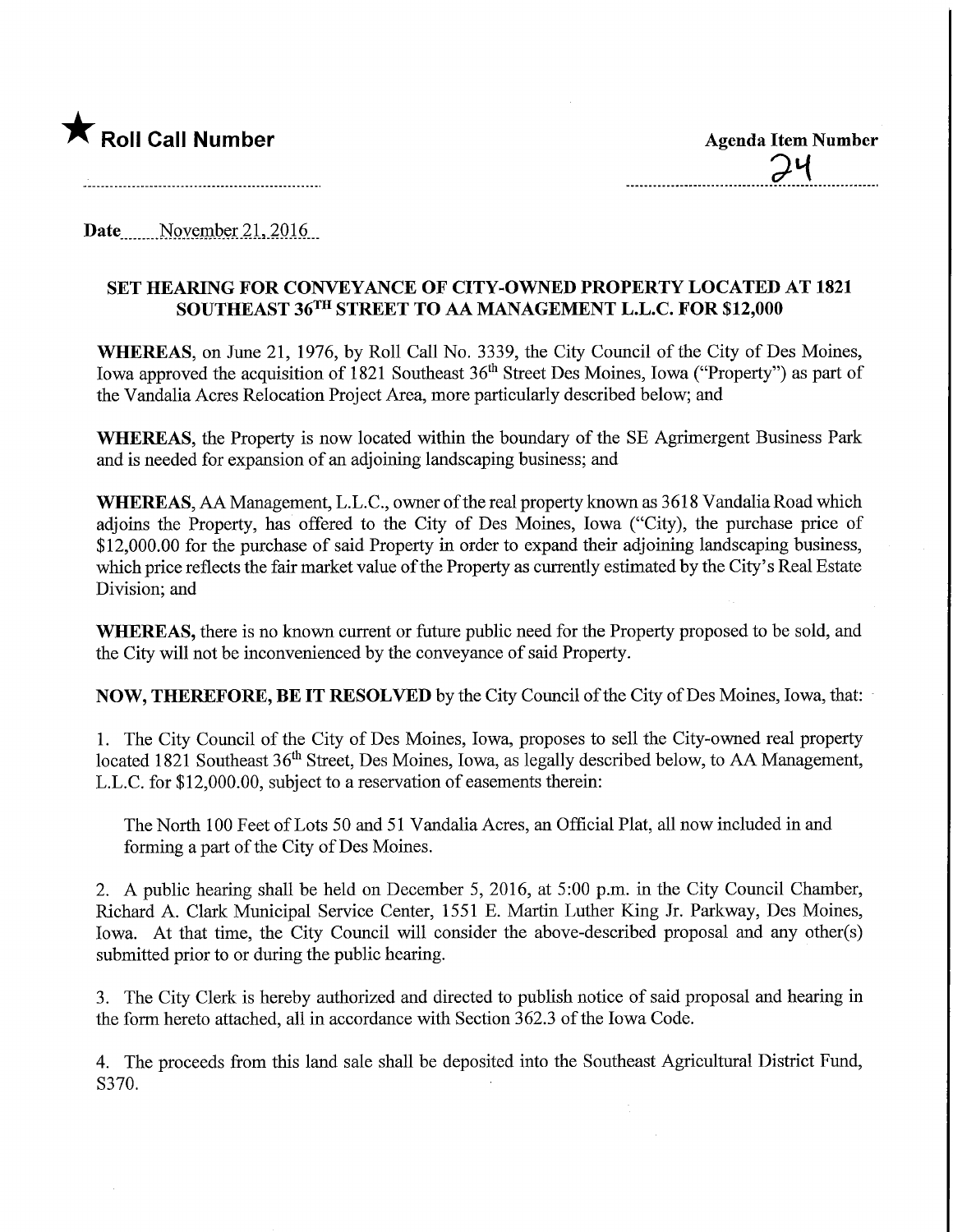## **The Roll Call Number Agents Container Agents Item Number**

Date...,, November 21, 2016,

## SET HEARING FOR CONVEYANCE OF CITY-OWNED PROPERTY LOCATED AT 1821 SOUTHEAST 36TH STREET TO AA MANAGEMENT L.L.C. FOR \$12,000

WHEREAS, on June 21, 1976, by Roll Call No. 3339, the City Council of the City of Des Moines, Iowa approved the acquisition of 1821 Southeast 36<sup>th</sup> Street Des Moines, Iowa ("Property") as part of the Vandalia Acres Relocation Project Area, more particularly described below; and

WHEREAS, the Property is now located within the boundary of the SE Agrimergent Business Park and is needed for expansion of an adjoining landscaping business; and

WHEREAS, AA Management, L.L.C., owner of the real property known as 3618 Vandalia Road which adjoins the Property, has offered to the City of Des Moines, Iowa ("City), the purchase price of \$12,000.00 for the purchase of said Property in order to expand their adjoining landscaping business, which price reflects the fair market value of the Property as currently estimated by the City's Real Estate Division; and

WHEREAS, there is no known current or future public need for the Property proposed to be sold, and the City will not be inconvenienced by the conveyance of said Property.

NOW, THEREFORE, BE IT RESOLVED by the City Council of the City of Des Moines, Iowa, that:

1. The City Council of the City of Des Moines, Iowa, proposes to sell the City-owned real property located 1821 Southeast 36<sup>th</sup> Street, Des Moines, Iowa, as legally described below, to AA Management, L.L.C. for \$12,000.00, subject to a reservation of easements therein:

The North 100 Feet of Lots 50 and 51 Vandalia Acres, an Official Plat, all now included in and forming a part of the City of Des Moines.

2. A public hearing shall be held on December 5, 2016, at 5:00 p.m. in the City Council Chamber, Richard A. Clark Municipal Service Center, 1551 E. Martin Luther King Jr. Parkway, Des Moines, Iowa. At that time, the City Council will consider the above-described proposal and any other(s) submitted prior to or during the public hearing.

3. The City Clerk is hereby authorized and directed to publish notice of said proposal and hearing in the form hereto attached, all in accordance with Section 362.3 of the Iowa Code.

4. The proceeds from this land sale shall be deposited into the Southeast Agricultural District Fund, S370.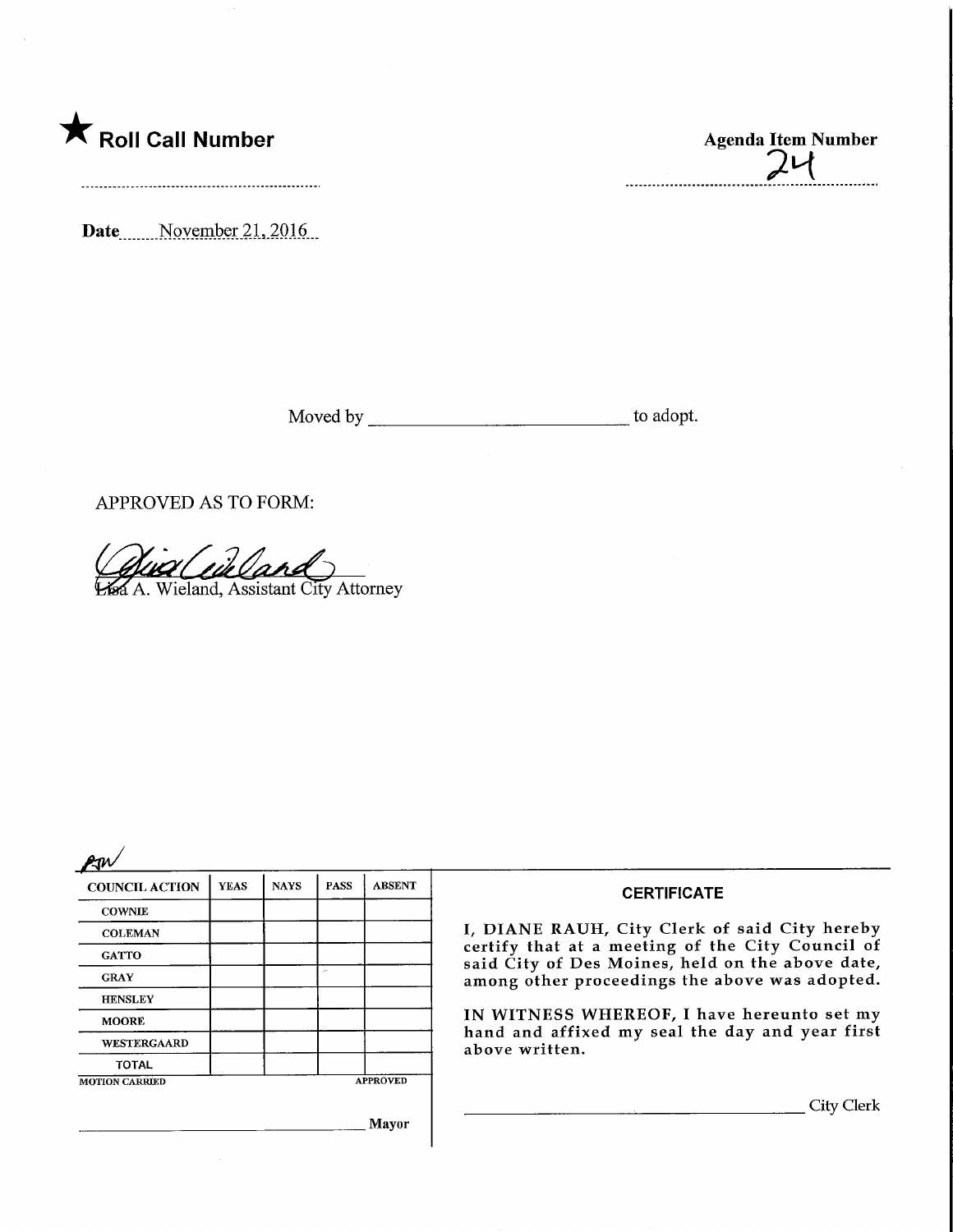

Date<sub>\_\_\_\_\_</sub>November 21, 2016

Moved by the contract of the contract of the contract of the contract of the contract of the contract of the contract of the contract of the contract of the contract of the contract of the contract of the contract of the c

APPROVED AS TO FORM:

*Qua Cuil Land* 

| <b>COUNCIL ACTION</b> | <b>YEAS</b> | <b>NAYS</b> | <b>PASS</b> | <b>ABSENT</b>   |
|-----------------------|-------------|-------------|-------------|-----------------|
| <b>COWNIE</b>         |             |             |             |                 |
| <b>COLEMAN</b>        |             |             |             |                 |
| <b>GATTO</b>          |             |             |             |                 |
| <b>GRAY</b>           |             |             | r           |                 |
| <b>HENSLEY</b>        |             |             |             |                 |
| <b>MOORE</b>          |             |             |             |                 |
| WESTERGAARD           |             |             |             |                 |
| <b>TOTAL</b>          |             |             |             |                 |
| <b>MOTION CARRIED</b> |             |             |             | <b>APPROVED</b> |

## **CERTIFICATE**

I, DIANE RAUH, City Clerk of said City hereby certify that at a meeting of the City Council of said City of Des Moines, held on the above date, among other proceedings the above was adopted.

IN WITNESS WHEREOF, I have hereunto set my hand and affixed my seal the day and year first above written.

**.** City Clerk